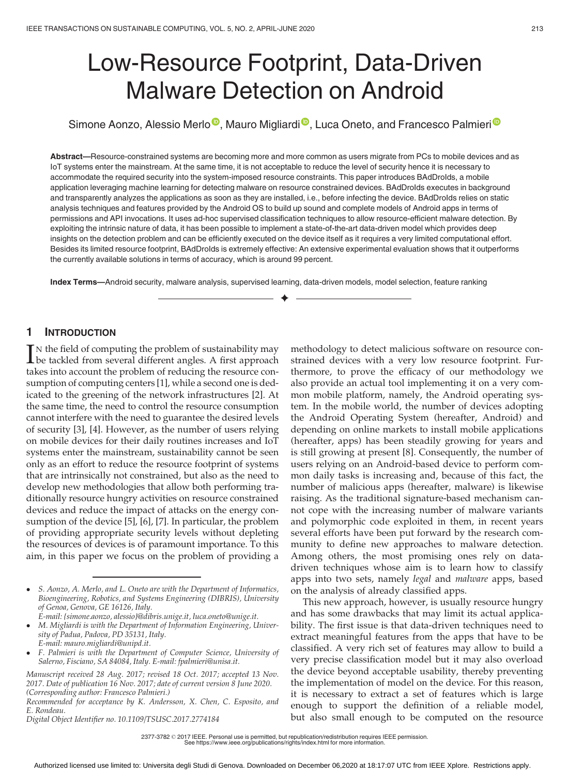# Low-Resource Footprint, Data-Driven Malware Detection on Android

Sim[o](https://orcid.org/0000-0002-2272-2376)ne Aonzo[,](https://orcid.org/0000-0002-3634-7554) Aless[i](https://orcid.org/0000-0002-3634-7554)o Merlo<sup>®</sup>, Mauro Migliardi<sup>®</sup>, Luca Oneto, and Francesco Palmieri<sup>®</sup>

Abstract—Resource-constrained systems are becoming more and more common as users migrate from PCs to mobile devices and as IoT systems enter the mainstream. At the same time, it is not acceptable to reduce the level of security hence it is necessary to accommodate the required security into the system-imposed resource constraints. This paper introduces BAdDroIds, a mobile application leveraging machine learning for detecting malware on resource constrained devices. BAdDroIds executes in background and transparently analyzes the applications as soon as they are installed, i.e., before infecting the device. BAdDroIds relies on static analysis techniques and features provided by the Android OS to build up sound and complete models of Android apps in terms of permissions and API invocations. It uses ad-hoc supervised classification techniques to allow resource-efficient malware detection. By exploiting the intrinsic nature of data, it has been possible to implement a state-of-the-art data-driven model which provides deep insights on the detection problem and can be efficiently executed on the device itself as it requires a very limited computational effort. Besides its limited resource footprint, BAdDroIds is extremely effective: An extensive experimental evaluation shows that it outperforms the currently available solutions in terms of accuracy, which is around 99 percent.

 $\bigstar$ 

Index Terms—Android security, malware analysis, supervised learning, data-driven models, model selection, feature ranking

# 1 INTRODUCTION

 $\prod_{k=1}^{n}$  is the field of computing the problem of sustainability may be tackled from several different angles. A first approach takes into account the graph of radiusing the geographs can  $\mathbf{T}$ N the field of computing the problem of sustainability may takes into account the problem of reducing the resource consumption of computing centers [1], while a second one is dedicated to the greening of the network infrastructures [2]. At the same time, the need to control the resource consumption cannot interfere with the need to guarantee the desired levels of security [3], [4]. However, as the number of users relying on mobile devices for their daily routines increases and IoT systems enter the mainstream, sustainability cannot be seen only as an effort to reduce the resource footprint of systems that are intrinsically not constrained, but also as the need to develop new methodologies that allow both performing traditionally resource hungry activities on resource constrained devices and reduce the impact of attacks on the energy consumption of the device [5], [6], [7]. In particular, the problem of providing appropriate security levels without depleting the resources of devices is of paramount importance. To this aim, in this paper we focus on the problem of providing a

Digital Object Identifier no. 10.1109/TSUSC.2017.2774184

methodology to detect malicious software on resource constrained devices with a very low resource footprint. Furthermore, to prove the efficacy of our methodology we also provide an actual tool implementing it on a very common mobile platform, namely, the Android operating system. In the mobile world, the number of devices adopting the Android Operating System (hereafter, Android) and depending on online markets to install mobile applications (hereafter, apps) has been steadily growing for years and is still growing at present [8]. Consequently, the number of users relying on an Android-based device to perform common daily tasks is increasing and, because of this fact, the number of malicious apps (hereafter, malware) is likewise raising. As the traditional signature-based mechanism cannot cope with the increasing number of malware variants and polymorphic code exploited in them, in recent years several efforts have been put forward by the research community to define new approaches to malware detection. Among others, the most promising ones rely on datadriven techniques whose aim is to learn how to classify apps into two sets, namely legal and malware apps, based on the analysis of already classified apps.

This new approach, however, is usually resource hungry and has some drawbacks that may limit its actual applicability. The first issue is that data-driven techniques need to extract meaningful features from the apps that have to be classified. A very rich set of features may allow to build a very precise classification model but it may also overload the device beyond acceptable usability, thereby preventing the implementation of model on the device. For this reason, it is necessary to extract a set of features which is large enough to support the definition of a reliable model, but also small enough to be computed on the resource

S. Aonzo, A. Merlo, and L. Oneto are with the Department of Informatics, Bioengineering, Robotics, and Systems Engineering (DIBRIS), University of Genoa, Genova, GE 16126, Italy.

E-mail: [{simone.aonzo, alessio}@dibris.unige.it, luca.oneto@unige.it](mailto:). M. Migliardi is with the Department of Information Engineering, University of Padua, Padova, PD 35131, Italy.

E-mail: [mauro.migliardi@unipd.it](mailto:). F. Palmieri is with the Department of Computer Science, University of

Salerno, Fisciano, SA 84084, Italy. E-mail: [fpalmieri@unisa.it.](mailto:) Manuscript received 28 Aug. 2017; revised 18 Oct. 2017; accepted 13 Nov.

<sup>2017.</sup> Date of publication 16 Nov. 2017; date of current version 8 June 2020. (Corresponding author: Francesco Palmieri.)

Recommended for acceptance by K. Andersson, X. Chen, C. Esposito, and E. Rondeau.

<sup>2377-3782 © 2017</sup> IEEE. Personal use is permitted, but republication/redistribution requires IEEE permission.<br>See https://www.ieee.org/publications/rights/index.html for more information.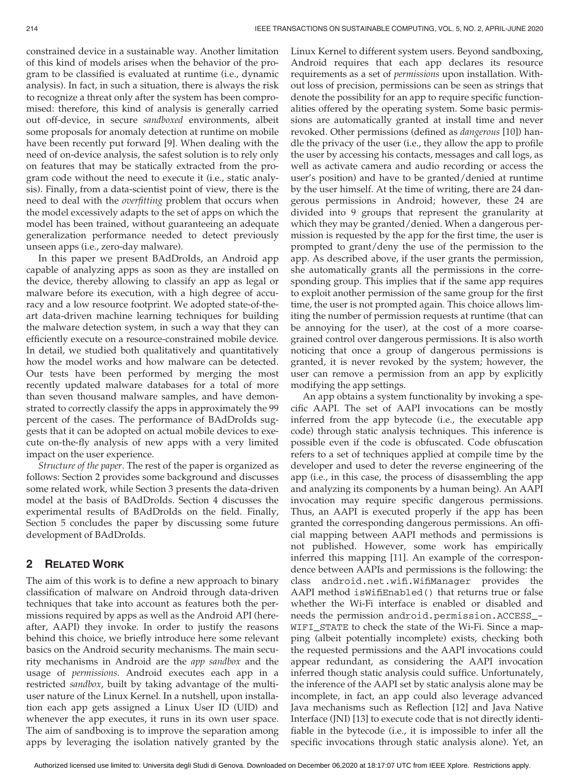constrained device in a sustainable way. Another limitation of this kind of models arises when the behavior of the program to be classified is evaluated at runtime (i.e., dynamic analysis). In fact, in such a situation, there is always the risk to recognize a threat only after the system has been compromised: therefore, this kind of analysis is generally carried out off-device, in secure sandboxed environments, albeit some proposals for anomaly detection at runtime on mobile have been recently put forward [9]. When dealing with the need of on-device analysis, the safest solution is to rely only on features that may be statically extracted from the program code without the need to execute it (i.e., static analysis). Finally, from a data-scientist point of view, there is the need to deal with the overfitting problem that occurs when the model excessively adapts to the set of apps on which the model has been trained, without guaranteeing an adequate generalization performance needed to detect previously unseen apps (i.e., zero-day malware).

In this paper we present BAdDroIds, an Android app capable of analyzing apps as soon as they are installed on the device, thereby allowing to classify an app as legal or malware before its execution, with a high degree of accuracy and a low resource footprint. We adopted state-of-theart data-driven machine learning techniques for building the malware detection system, in such a way that they can efficiently execute on a resource-constrained mobile device. In detail, we studied both qualitatively and quantitatively how the model works and how malware can be detected. Our tests have been performed by merging the most recently updated malware databases for a total of more than seven thousand malware samples, and have demonstrated to correctly classify the apps in approximately the 99 percent of the cases. The performance of BAdDroIds suggests that it can be adopted on actual mobile devices to execute on-the-fly analysis of new apps with a very limited impact on the user experience.

Structure of the paper. The rest of the paper is organized as follows: Section 2 provides some background and discusses some related work, while Section 3 presents the data-driven model at the basis of BAdDroIds. Section 4 discusses the experimental results of BAdDroIds on the field. Finally, Section 5 concludes the paper by discussing some future development of BAdDroIds.

## 2 RELATED WORK

The aim of this work is to define a new approach to binary classification of malware on Android through data-driven techniques that take into account as features both the permissions required by apps as well as the Android API (hereafter, AAPI) they invoke. In order to justify the reasons behind this choice, we briefly introduce here some relevant basics on the Android security mechanisms. The main security mechanisms in Android are the app sandbox and the usage of permissions. Android executes each app in a restricted sandbox, built by taking advantage of the multiuser nature of the Linux Kernel. In a nutshell, upon installation each app gets assigned a Linux User ID (UID) and whenever the app executes, it runs in its own user space. The aim of sandboxing is to improve the separation among apps by leveraging the isolation natively granted by the

Linux Kernel to different system users. Beyond sandboxing, Android requires that each app declares its resource requirements as a set of permissions upon installation. Without loss of precision, permissions can be seen as strings that denote the possibility for an app to require specific functionalities offered by the operating system. Some basic permissions are automatically granted at install time and never revoked. Other permissions (defined as dangerous [10]) handle the privacy of the user (i.e., they allow the app to profile the user by accessing his contacts, messages and call logs, as well as activate camera and audio recording or access the user's position) and have to be granted/denied at runtime by the user himself. At the time of writing, there are 24 dangerous permissions in Android; however, these 24 are divided into 9 groups that represent the granularity at which they may be granted/denied. When a dangerous permission is requested by the app for the first time, the user is prompted to grant/deny the use of the permission to the app. As described above, if the user grants the permission, she automatically grants all the permissions in the corresponding group. This implies that if the same app requires to exploit another permission of the same group for the first time, the user is not prompted again. This choice allows limiting the number of permission requests at runtime (that can be annoying for the user), at the cost of a more coarsegrained control over dangerous permissions. It is also worth noticing that once a group of dangerous permissions is granted, it is never revoked by the system; however, the user can remove a permission from an app by explicitly modifying the app settings.

An app obtains a system functionality by invoking a specific AAPI. The set of AAPI invocations can be mostly inferred from the app bytecode (i.e., the executable app code) through static analysis techniques. This inference is possible even if the code is obfuscated. Code obfuscation refers to a set of techniques applied at compile time by the developer and used to deter the reverse engineering of the app (i.e., in this case, the process of disassembling the app and analyzing its components by a human being). An AAPI invocation may require specific dangerous permissions. Thus, an AAPI is executed properly if the app has been granted the corresponding dangerous permissions. An official mapping between AAPI methods and permissions is not published. However, some work has empirically inferred this mapping [11]. An example of the correspondence between AAPIs and permissions is the following: the class android.net.wifi.WifiManager provides the AAPI method isWifiEnabled() that returns true or false whether the Wi-Fi interface is enabled or disabled and needs the permission android.permission.ACCESS\_- WIFI\_STATE to check the state of the Wi-Fi. Since a mapping (albeit potentially incomplete) exists, checking both the requested permissions and the AAPI invocations could appear redundant, as considering the AAPI invocation inferred though static analysis could suffice. Unfortunately, the inference of the AAPI set by static analysis alone may be incomplete, in fact, an app could also leverage advanced Java mechanisms such as Reflection [12] and Java Native Interface (JNI) [13] to execute code that is not directly identifiable in the bytecode (i.e., it is impossible to infer all the specific invocations through static analysis alone). Yet, an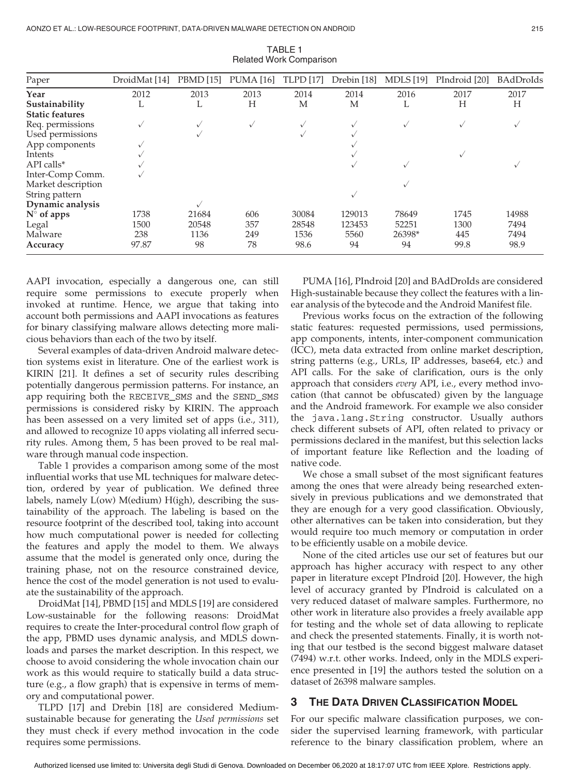| Paper                  | DroidMat [14] |              | PBMD [15] PUMA [16] | <b>TLPD</b> [17] | Drebin [18]  | <b>MDLS</b> [19] | PIndroid [20] | <b>BAdDroIds</b> |
|------------------------|---------------|--------------|---------------------|------------------|--------------|------------------|---------------|------------------|
| Year                   | 2012          | 2013         | 2013                | 2014             | 2014         | 2016             | 2017          | 2017             |
| Sustainability         | L             |              | Н                   | M                | М            |                  | Н             | Н                |
| <b>Static features</b> |               |              |                     |                  |              |                  |               |                  |
| Req. permissions       | $\checkmark$  |              | $\checkmark$        | v                | $\checkmark$ | $\checkmark$     |               |                  |
| Used permissions       |               | $\checkmark$ |                     |                  |              |                  |               |                  |
| App components         |               |              |                     |                  |              |                  |               |                  |
| Intents                |               |              |                     |                  |              |                  |               |                  |
| API calls*             |               |              |                     |                  |              |                  |               |                  |
| Inter-Comp Comm.       |               |              |                     |                  |              |                  |               |                  |
| Market description     |               |              |                     |                  |              | $\checkmark$     |               |                  |
| String pattern         |               |              |                     |                  | $\checkmark$ |                  |               |                  |
| Dynamic analysis       |               |              |                     |                  |              |                  |               |                  |
| $N^{\circ}$ of apps    | 1738          | 21684        | 606                 | 30084            | 129013       | 78649            | 1745          | 14988            |
| Legal                  | 1500          | 20548        | 357                 | 28548            | 123453       | 52251            | 1300          | 7494             |
| Malware                | 238           | 1136         | 249                 | 1536             | 5560         | 26398*           | 445           | 7494             |
| Accuracy               | 97.87         | 98           | 78                  | 98.6             | 94           | 94               | 99.8          | 98.9             |
|                        |               |              |                     |                  |              |                  |               |                  |

TABLE 1 Related Work Comparison

AAPI invocation, especially a dangerous one, can still require some permissions to execute properly when invoked at runtime. Hence, we argue that taking into account both permissions and AAPI invocations as features for binary classifying malware allows detecting more malicious behaviors than each of the two by itself.

Several examples of data-driven Android malware detection systems exist in literature. One of the earliest work is KIRIN [21]. It defines a set of security rules describing potentially dangerous permission patterns. For instance, an app requiring both the RECEIVE\_SMS and the SEND\_SMS permissions is considered risky by KIRIN. The approach has been assessed on a very limited set of apps (i.e., 311), and allowed to recognize 10 apps violating all inferred security rules. Among them, 5 has been proved to be real malware through manual code inspection.

Table 1 provides a comparison among some of the most influential works that use ML techniques for malware detection, ordered by year of publication. We defined three labels, namely L(ow) M(edium) H(igh), describing the sustainability of the approach. The labeling is based on the resource footprint of the described tool, taking into account how much computational power is needed for collecting the features and apply the model to them. We always assume that the model is generated only once, during the training phase, not on the resource constrained device, hence the cost of the model generation is not used to evaluate the sustainability of the approach.

DroidMat [14], PBMD [15] and MDLS [19] are considered Low-sustainable for the following reasons: DroidMat requires to create the Inter-procedural control flow graph of the app, PBMD uses dynamic analysis, and MDLS downloads and parses the market description. In this respect, we choose to avoid considering the whole invocation chain our work as this would require to statically build a data structure (e.g., a flow graph) that is expensive in terms of memory and computational power.

TLPD [17] and Drebin [18] are considered Mediumsustainable because for generating the Used permissions set they must check if every method invocation in the code requires some permissions.

PUMA [16], PIndroid [20] and BAdDroIds are considered High-sustainable because they collect the features with a linear analysis of the bytecode and the Android Manifest file.

Previous works focus on the extraction of the following static features: requested permissions, used permissions, app components, intents, inter-component communication (ICC), meta data extracted from online market description, string patterns (e.g., URLs, IP addresses, base64, etc.) and API calls. For the sake of clarification, ours is the only approach that considers every API, i.e., every method invocation (that cannot be obfuscated) given by the language and the Android framework. For example we also consider the java.lang.String constructor. Usually authors check different subsets of API, often related to privacy or permissions declared in the manifest, but this selection lacks of important feature like Reflection and the loading of native code.

We chose a small subset of the most significant features among the ones that were already being researched extensively in previous publications and we demonstrated that they are enough for a very good classification. Obviously, other alternatives can be taken into consideration, but they would require too much memory or computation in order to be efficiently usable on a mobile device.

None of the cited articles use our set of features but our approach has higher accuracy with respect to any other paper in literature except PIndroid [20]. However, the high level of accuracy granted by PIndroid is calculated on a very reduced dataset of malware samples. Furthermore, no other work in literature also provides a freely available app for testing and the whole set of data allowing to replicate and check the presented statements. Finally, it is worth noting that our testbed is the second biggest malware dataset (7494) w.r.t. other works. Indeed, only in the MDLS experience presented in [19] the authors tested the solution on a dataset of 26398 malware samples.

# 3 THE DATA DRIVEN CLASSIFICATION MODEL

For our specific malware classification purposes, we consider the supervised learning framework, with particular reference to the binary classification problem, where an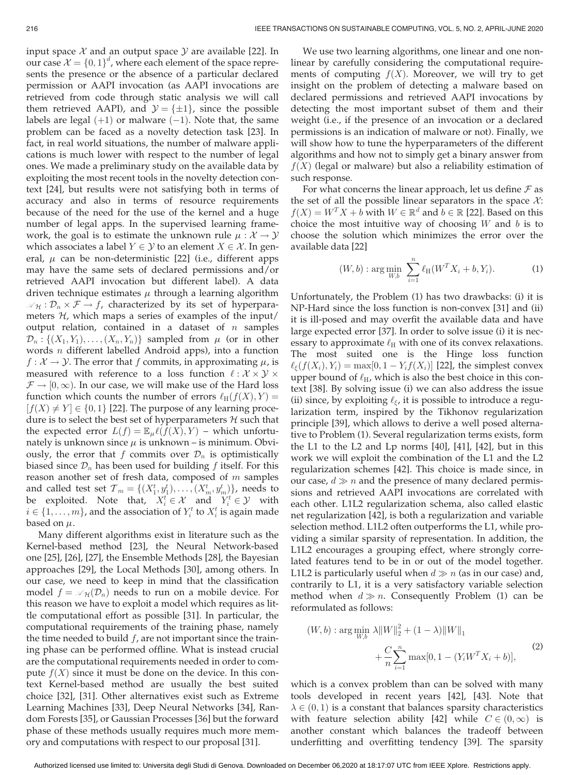input space X and an output space Y are available [22]. In<br>our case  $\mathcal{X} = \{0,1\}^d$ , where each element of the space repre-<br>sents the presence or the absence of a particular declared sents the presence or the absence of a particular declared permission or AAPI invocation (as AAPI invocations are retrieved from code through static analysis we will call them retrieved AAPI), and  $\mathcal{Y} = \{\pm 1\}$ , since the possible labels are legal  $(+1)$  or malware  $(-1)$ . Note that, the same problem can be faced as a novelty detection task [23]. In fact, in real world situations, the number of malware applications is much lower with respect to the number of legal ones. We made a preliminary study on the available data by exploiting the most recent tools in the novelty detection context [24], but results were not satisfying both in terms of accuracy and also in terms of resource requirements because of the need for the use of the kernel and a huge number of legal apps. In the supervised learning framework, the goal is to estimate the unknown rule  $\mu : \mathcal{X} \to \mathcal{Y}$ which associates a label  $Y \in \mathcal{Y}$  to an element  $X \in \mathcal{X}$ . In general,  $\mu$  can be non-deterministic [22] (i.e., different apps may have the same sets of declared permissions and/or retrieved AAPI invocation but different label). A data driven technique estimates  $\mu$  through a learning algorithm  $\mathcal{A}_H : \mathcal{D}_n \times \mathcal{F} \to f$ , characterized by its set of hyperparameters  $H$ , which maps a series of examples of the input/ output relation, contained in a dataset of  $n$  samples  $\mathcal{D}_n : \{(X_1, Y_1), \ldots, (X_n, Y_n)\}\$  sampled from  $\mu$  (or in other words  $n$  different labelled Android apps), into a function  $f: \mathcal{X} \rightarrow \mathcal{Y}$ . The error that f commits, in approximating  $\mu$ , is measured with reference to a loss function  $\ell : \mathcal{X} \times \mathcal{Y} \times$  $\mathcal{F} \rightarrow [0,\infty)$ . In our case, we will make use of the Hard loss function which counts the number of errors  $\ell_H(f(X),Y) =$  $[f(X) \neq Y] \in \{0, 1\}$  [22]. The purpose of any learning procedure is to select the best set of hyperparameters  $H$  such that the expected error  $L(f) = \mathbb{E}_{\mu} \ell(f(X), Y)$  – which unfortunately is unknown since  $\mu$  is unknown – is minimum. Obviously, the error that f commits over  $\mathcal{D}_n$  is optimistically biased since  $\mathcal{D}_n$  has been used for building f itself. For this reason another set of fresh data, composed of  $m$  samples and called test set  $\mathcal{T}_m = \{(X_1^t, y_1^t), \dots, (X_m^t, y_m^t)\}\)$ , needs to be exploited. Note that  $X^t \in \mathcal{X}$  and  $X^t \in \mathcal{Y}$  with be exploited. Note that,  $X_t^t \in \mathcal{X}$  and  $Y_t^t \in \mathcal{Y}$  with  $i \in \{1, \ldots, m\}$  and the association of  $Y^t$  to  $X^t$  is again made  $i \in \{1, \ldots, m\}$ , and the association of  $Y_i^t$  to  $X_i^t$  is again made<br>hased on u based on  $\mu$ .

Many different algorithms exist in literature such as the Kernel-based method [23], the Neural Network-based one [25], [26], [27], the Ensemble Methods [28], the Bayesian approaches [29], the Local Methods [30], among others. In our case, we need to keep in mind that the classification model  $f = \mathcal{A}_H(\mathcal{D}_n)$  needs to run on a mobile device. For this reason we have to exploit a model which requires as little computational effort as possible [31]. In particular, the computational requirements of the training phase, namely the time needed to build  $f$ , are not important since the training phase can be performed offline. What is instead crucial are the computational requirements needed in order to compute  $f(X)$  since it must be done on the device. In this context Kernel-based method are usually the best suited choice [32], [31]. Other alternatives exist such as Extreme Learning Machines [33], Deep Neural Networks [34], Random Forests [35], or Gaussian Processes [36] but the forward phase of these methods usually requires much more memory and computations with respect to our proposal [31].

We use two learning algorithms, one linear and one nonlinear by carefully considering the computational requirements of computing  $f(X)$ . Moreover, we will try to get insight on the problem of detecting a malware based on declared permissions and retrieved AAPI invocations by detecting the most important subset of them and their weight (i.e., if the presence of an invocation or a declared permissions is an indication of malware or not). Finally, we will show how to tune the hyperparameters of the different algorithms and how not to simply get a binary answer from  $f(X)$  (legal or malware) but also a reliability estimation of such response.

For what concerns the linear approach, let us define  $\mathcal F$  as the set of all the possible linear separators in the space  $\mathcal{X}$ :  $f(X) = W<sup>T</sup> X + b$  with  $W \in \mathbb{R}^d$  and  $b \in \mathbb{R}$  [22]. Based on this choice the most intuitive way of choosing  $W$  and  $b$  is to choose the solution which minimizes the error over the available data [22]

$$
(W, b) : \arg\min_{W, b} \sum_{i=1}^{n} \ell_{\text{H}}(W^{T} X_i + b, Y_i). \tag{1}
$$

Unfortunately, the Problem (1) has two drawbacks: (i) it is NP-Hard since the loss function is non-convex [31] and (ii) it is ill-posed and may overfit the available data and have large expected error [37]. In order to solve issue (i) it is necessary to approximate  $\ell_H$  with one of its convex relaxations. The most suited one is the Hinge loss function  $\ell_{\xi}(f(X_i), Y_i) = \max[0, 1 - Y_i f(X_i)]$  [22], the simplest convex<br>upper bound of  $\ell_{\text{tr}}$  which is also the best choice in this conupper bound of  $\ell_H$ , which is also the best choice in this context [38]. By solving issue (i) we can also address the issue (ii) since, by exploiting  $\ell_{\xi}$ , it is possible to introduce a regularization term, inspired by the Tikhonov regularization principle [39], which allows to derive a well posed alternative to Problem (1). Several regularization terms exists, form the L1 to the L2 and Lp norms [40], [41], [42], but in this work we will exploit the combination of the L1 and the L2 regularization schemes [42]. This choice is made since, in our case,  $d \gg n$  and the presence of many declared permissions and retrieved AAPI invocations are correlated with each other. L1L2 regularization schema, also called elastic net regularization [42], is both a regularization and variable selection method. L1L2 often outperforms the L1, while providing a similar sparsity of representation. In addition, the L1L2 encourages a grouping effect, where strongly correlated features tend to be in or out of the model together. L1L2 is particularly useful when  $d \gg n$  (as in our case) and, contrarily to L1, it is a very satisfactory variable selection method when  $d \gg n$ . Consequently Problem (1) can be reformulated as follows:

$$
(W, b) : \arg\min_{W, b} \lambda \|W\|_2^2 + (1 - \lambda) \|W\|_1
$$
  
+ 
$$
\frac{C}{n} \sum_{i=1}^n \max[0, 1 - (Y_i W^T X_i + b)],
$$
 (2)

which is a convex problem than can be solved with many tools developed in recent years [42], [43]. Note that  $\lambda \in (0, 1)$  is a constant that balances sparsity characteristics with feature selection ability [42] while  $C \in (0,\infty)$  is another constant which balances the tradeoff between underfitting and overfitting tendency [39]. The sparsity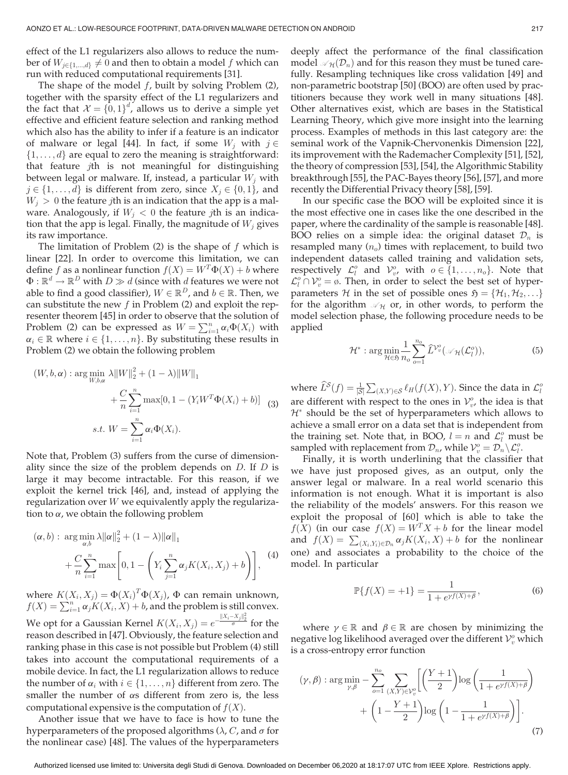effect of the L1 regularizers also allows to reduce the number of  $W_{i\in\{1,\ldots,d\}}\neq 0$  and then to obtain a model f which can run with reduced computational requirements [31].

The shape of the model  $f$ , built by solving Problem  $(2)$ , together with the sparsity effect of the L1 regularizers and the fact that  $\mathcal{X} = \{0, 1\}^d$ , allows us to derive a simple yet effective and efficient feature selection and ranking method effective and efficient feature selection and ranking method which also has the ability to infer if a feature is an indicator of malware or legal [44]. In fact, if some  $W_i$  with  $j \in$  $\{1, \ldots, d\}$  are equal to zero the meaning is straightforward: that feature jth is not meaningful for distinguishing between legal or malware. If, instead, a particular  $W_i$  with  $j \in \{1, \ldots, d\}$  is different from zero, since  $X_j \in \{0, 1\}$ , and  $W_i > 0$  the feature *j*th is an indication that the app is a malware. Analogously, if  $W_i < 0$  the feature *j*th is an indication that the app is legal. Finally, the magnitude of  $W_i$  gives its raw importance.

The limitation of Problem  $(2)$  is the shape of f which is linear [22]. In order to overcome this limitation, we can define f as a nonlinear function  $f(X) = W<sup>T</sup> \Phi(X) + b$  where  $\Phi: \mathbb{R}^d \rightarrow \mathbb{R}^D$  with  $D \gg d$  (since with  $d$  features we were not able to find a good classifier),  $W \in \mathbb{R}^D$ , and  $b \in \mathbb{R}$ . Then, we can substitute the new  $f$  in Problem (2) and exploit the representer theorem [45] in order to observe that the solution of Problem (2) can be expressed as  $W = \sum_{i=1}^{n} \alpha_i \Phi(X_i)$  with  $\alpha_i \in \mathbb{R}$  where  $i \in \{1, \ldots, n\}$ . By substituting these results in  $\alpha_i \in \mathbb{R}$  where  $i \in \{1, \ldots, n\}$  By substituting these results in Problem (2) we obtain the following problem

$$
(W, b, \alpha) : \arg\min_{W, b, \alpha} \lambda \|W\|_2^2 + (1 - \lambda) \|W\|_1
$$
  
+ 
$$
\frac{C}{n} \sum_{i=1}^n \max[0, 1 - (Y_i W^T \Phi(X_i) + b)] \quad (3)
$$
  
s.t. 
$$
W = \sum_{i=1}^n \alpha_i \Phi(X_i).
$$

Note that, Problem (3) suffers from the curse of dimensionality since the size of the problem depends on  $D$ . If  $D$  is large it may become intractable. For this reason, if we exploit the kernel trick [46], and, instead of applying the regularization over  $W$  we equivalently apply the regularization to  $\alpha$ , we obtain the following problem

$$
(\alpha, b) : \underset{n}{\arg\min} \lambda \|\alpha\|_2^2 + (1 - \lambda) \|\alpha\|_1
$$
  
+ 
$$
\frac{C}{n} \sum_{i=1}^n \max \left[0, 1 - \left(Y_i \sum_{j=1}^n \alpha_j K(X_i, X_j) + b\right)\right],
$$
 (4)

where  $K(X_i, X_j) = \Phi(X_i)^T \Phi(X_j)$ ,  $\Phi$  can remain unknown,<br>  $f(X) = \sum_{i=1}^{n} \alpha_i K(X_i, X) + b$  and the problem is still convex  $f(X) = \sum_{i=1}^{n} \alpha_j K(X_i, X) + b$ , and the problem is still convex. We opt for a Gaussian Kernel  $K(X_i, X_j) = e^{-\frac{||X_i - X_j||_2^2}{\sigma}}$  for the reason described in [47]. Obviously, the feature selection and reason described in [47]. Obviously, the feature selection and ranking phase in this case is not possible but Problem (4) still takes into account the computational requirements of a mobile device. In fact, the L1 regularization allows to reduce the number of  $\alpha_i$  with  $i \in \{1, \ldots, n\}$  different from zero. The smaller the number of  $\alpha s$  different from zero is, the less computational expensive is the computation of  $f(X)$ .

Another issue that we have to face is how to tune the hyperparameters of the proposed algorithms  $(\lambda, C, \text{and } \sigma \text{ for } \theta)$ the nonlinear case) [48]. The values of the hyperparameters deeply affect the performance of the final classification model  $\mathcal{A}_H(\mathcal{D}_n)$  and for this reason they must be tuned carefully. Resampling techniques like cross validation [49] and non-parametric bootstrap [50] (BOO) are often used by practitioners because they work well in many situations [48]. Other alternatives exist, which are bases in the Statistical Learning Theory, which give more insight into the learning process. Examples of methods in this last category are: the seminal work of the Vapnik-Chervonenkis Dimension [22], its improvement with the Rademacher Complexity [51], [52], the theory of compression [53], [54], the Algorithmic Stability breakthrough [55], the PAC-Bayes theory [56], [57], and more recently the Differential Privacy theory [58], [59].

In our specific case the BOO will be exploited since it is the most effective one in cases like the one described in the paper, where the cardinality of the sample is reasonable [48]. BOO relies on a simple idea: the original dataset  $\mathcal{D}_n$  is resampled many  $(n_o)$  times with replacement, to build two independent datasets called training and validation sets, respectively  $\mathcal{L}_l^o$  and  $\mathcal{V}_v^o$ , with  $o \in \{1, \ldots, n_o\}$ . Note that  $\mathcal{L}_s^o \cap \mathcal{V}^o = \emptyset$ . Then in order to select the best set of hyper- $\mathcal{L}_l^o \cap \mathcal{V}_v^o = \emptyset$ . Then, in order to select the best set of hyper-<br>parameters H in the set of possible ones  $\mathfrak{h} = \{H_1, H_2, \ldots\}$  $\mathcal{L}_l \cap \mathcal{V}_v = \emptyset$ . Then, in order to select the best set of hyper-<br>parameters H in the set of possible ones  $\mathfrak{H} = {\mathcal{H}_1, \mathcal{H}_2, \ldots}$ <br>for the algorithm  $\mathcal{L}_l$  or in other words, to perform the for the algorithm  $\mathcal{A}_H$  or, in other words, to perform the model selection phase, the following procedure needs to be applied

$$
\mathcal{H}^* : \arg\min_{\mathcal{H}\in\mathfrak{H}} \frac{1}{n_o} \sum_{o=1}^{n_o} \widehat{L}^{\mathcal{V}_v^o}(\mathcal{A}_{\mathcal{H}}(\mathcal{L}_l^o)),\tag{5}
$$

where  $\hat{L}^{\mathcal{S}}(f) = \frac{1}{|\mathcal{S}|} \sum_{(X,Y) \in \mathcal{S}} \ell_H(f(X), Y)$ . Since the data in  $\mathcal{L}^{\mathcal{O}}_t$ are different with respect to the ones in  $\mathcal{V}_{v}^{\circ}$ , the idea is that  $\mathcal{H}^*$  should be the set of hyperparameters which allows to  $\mathcal{H}^*$  should be the set of hyperparameters which allows to achieve a small error on a data set that is independent from the training set. Note that, in BOO,  $l = n$  and  $\mathcal{L}_l^o$  must be sampled with replacement from  $\mathcal{D}$  while  $\mathcal{V}^o = \mathcal{D} \setminus \mathcal{L}^o$ sampled with replacement from  $\mathcal{D}_n$ , while  $\mathcal{V}_v^o = \mathcal{D}_n \setminus \mathcal{L}_v^o$ .<br>Finally it is worth underlining that the classifier

Finally, it is worth underlining that the classifier that we have just proposed gives, as an output, only the answer legal or malware. In a real world scenario this information is not enough. What it is important is also the reliability of the models' answers. For this reason we exploit the proposal of [60] which is able to take the  $f(X)$  (in our case  $f(X) = W<sup>T</sup> X + b$  for the linear model and  $f(X) = \sum_{(X_i, Y_i) \in \mathcal{D}_n} \alpha_j K(X_i, X) + b$  for the nonlinear one) and associates a probability to the choice of the model. In particular

$$
\mathbb{P}\{f(X) = +1\} = \frac{1}{1 + e^{\gamma f(X) + \beta}},\tag{6}
$$

where  $\gamma \in \mathbb{R}$  and  $\beta \in \mathbb{R}$  are chosen by minimizing the negative log likelihood averaged over the different  $\mathcal{V}_v^o$  which<br>is a cross-entropy error function is a cross-entropy error function

$$
(\gamma, \beta) : \arg\min_{\gamma, \beta} - \sum_{o=1}^{n_o} \sum_{(X, Y) \in \mathcal{V}_v^o} \left[ \left( \frac{Y+1}{2} \right) \log \left( \frac{1}{1 + e^{\gamma f(X) + \beta}} \right) + \left( 1 - \frac{Y+1}{2} \right) \log \left( 1 - \frac{1}{1 + e^{\gamma f(X) + \beta}} \right) \right].
$$
\n(7)

Authorized licensed use limited to: Universita degli Studi di Genova. Downloaded on December 06,2020 at 18:17:07 UTC from IEEE Xplore. Restrictions apply.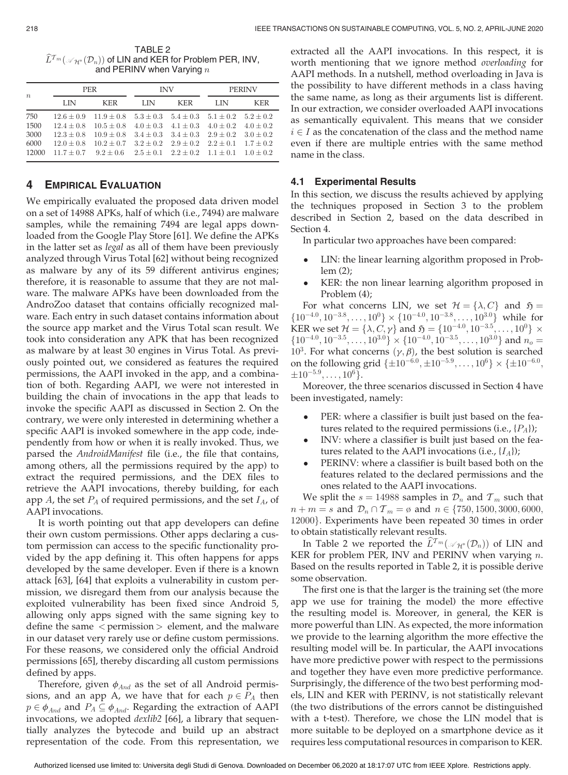TABLE 2  $\widehat{L}^{T_m}(\mathcal{A}_{\mathcal{H}^*}(\mathcal{D}_n))$  of LIN and KER for Problem PER, INV, and PERINV when Varying  $n$ 

|                  |                | <b>PER</b>                                                             |               | <b>INV</b>                                                             |                             | <b>PERINV</b> |  |
|------------------|----------------|------------------------------------------------------------------------|---------------|------------------------------------------------------------------------|-----------------------------|---------------|--|
| $\boldsymbol{n}$ | LIN            | KER                                                                    | <b>LIN</b>    | KER                                                                    | LIN                         | <b>KER</b>    |  |
| 750              | $12.6 \pm 0.9$ | $11.9 \pm 0.8$ $5.3 \pm 0.3$ $5.4 \pm 0.3$ $5.1 \pm 0.2$ $5.2 \pm 0.2$ |               |                                                                        |                             |               |  |
| 1500             | $12.4 \pm 0.8$ | $10.5 \pm 0.8$                                                         | $4.0 \pm 0.3$ | $4.1 \pm 0.3$ $4.0 \pm 0.2$                                            |                             | $4.0 \pm 0.2$ |  |
| 3000             | $12.3 \pm 0.8$ | $10.9 \pm 0.8$                                                         | $3.4 \pm 0.3$ |                                                                        | $3.4 \pm 0.3$ $2.9 \pm 0.2$ | $3.0 \pm 0.2$ |  |
| 6000             | $12.0 \pm 0.8$ |                                                                        |               | $10.2 \pm 0.7$ $3.2 \pm 0.2$ $2.9 \pm 0.2$ $2.2 \pm 0.1$ $1.7 \pm 0.2$ |                             |               |  |
| 12000            | $11.7 + 0.7$   | $9.2 \pm 0.6$ $2.5 \pm 0.1$ $2.2 \pm 0.2$ $1.1 \pm 0.1$                |               |                                                                        |                             | $1.0 + 0.2$   |  |

### 4 EMPIRICAL EVALUATION

We empirically evaluated the proposed data driven model on a set of 14988 APKs, half of which (i.e., 7494) are malware samples, while the remaining 7494 are legal apps downloaded from the Google Play Store [61]. We define the APKs in the latter set as legal as all of them have been previously analyzed through Virus Total [62] without being recognized as malware by any of its 59 different antivirus engines; therefore, it is reasonable to assume that they are not malware. The malware APKs have been downloaded from the AndroZoo dataset that contains officially recognized malware. Each entry in such dataset contains information about the source app market and the Virus Total scan result. We took into consideration any APK that has been recognized as malware by at least 30 engines in Virus Total. As previously pointed out, we considered as features the required permissions, the AAPI invoked in the app, and a combination of both. Regarding AAPI, we were not interested in building the chain of invocations in the app that leads to invoke the specific AAPI as discussed in Section 2. On the contrary, we were only interested in determining whether a specific AAPI is invoked somewhere in the app code, independently from how or when it is really invoked. Thus, we parsed the AndroidManifest file (i.e., the file that contains, among others, all the permissions required by the app) to extract the required permissions, and the DEX files to retrieve the AAPI invocations, thereby building, for each app  $A$ , the set  $P_A$  of required permissions, and the set  $I_A$ , of AAPI invocations.

It is worth pointing out that app developers can define their own custom permissions. Other apps declaring a custom permission can access to the specific functionality provided by the app defining it. This often happens for apps developed by the same developer. Even if there is a known attack [63], [64] that exploits a vulnerability in custom permission, we disregard them from our analysis because the exploited vulnerability has been fixed since Android 5, allowing only apps signed with the same signing key to define the same < permission > element, and the malware in our dataset very rarely use or define custom permissions. For these reasons, we considered only the official Android permissions [65], thereby discarding all custom permissions defined by apps.

Therefore, given  $\phi_{And}$  as the set of all Android permissions, and an app A, we have that for each  $p \in P_A$  then  $p \in \phi_{And}$  and  $P_A \subseteq \phi_{And}$ . Regarding the extraction of AAPI<br>invocations, we adopted devlib? [66], a library that sequeninvocations, we adopted dexlib2 [66], a library that sequentially analyzes the bytecode and build up an abstract representation of the code. From this representation, we

extracted all the AAPI invocations. In this respect, it is worth mentioning that we ignore method overloading for AAPI methods. In a nutshell, method overloading in Java is the possibility to have different methods in a class having the same name, as long as their arguments list is different. In our extraction, we consider overloaded AAPI invocations as semantically equivalent. This means that we consider  $i \in I$  as the concatenation of the class and the method name even if there are multiple entries with the same method name in the class.

#### 4.1 Experimental Results

In this section, we discuss the results achieved by applying the techniques proposed in Section 3 to the problem described in Section 2, based on the data described in Section 4.

In particular two approaches have been compared:

- LIN: the linear learning algorithm proposed in Problem (2);
- KER: the non linear learning algorithm proposed in Problem (4);

For what concerns LIN, we set  $\mathcal{H} = \{\lambda, C\}$  and  $\mathfrak{H} = \{10^{-4.0}, 10^{-3.8}, \dots, 10^{0}\} \times \{10^{-4.0}, 10^{-3.8}, \dots, 10^{3.0}\}$  while for  ${10^{-4.0}, 10^{-3.8}, \dots, 10^{0}} \times {10^{-4.0}, 10^{-3.8}, \dots, 10^{3.0}}$  while for<br>KER we set  $\mathcal{H} = {\lambda}$  G y and  $\mathfrak{g} = {10^{-4.0}, 10^{-3.5}}$  10<sup>0</sup> y KER we set  $\mathcal{H} = \{\lambda, C, \gamma\}$  and  $\mathfrak{H} = \{10^{-4.0}, 10^{-3.5}, \dots, 10^{0}\} \times$ <br> $\chi_{10^{-4.0}$   $10^{-3.5}}$   $\chi_{10^{3.0} \chi} \times \chi_{10^{-4.0}$   $10^{-3.5}}$   $\chi_{10^{3.0} \chi}$  and  $\eta$   $\chi$  $\{10^{-4.0}, 10^{-3.5}, \ldots, 10^{3.0}\} \times \{10^{-4.0}, 10^{-3.5}, \ldots, 10^{3.0}\}$  and  $n_e = 10^3$ . For what concerns  $(\gamma, \beta)$  the best solution is searched  $10^3$ . For what concerns  $(\gamma, \beta)$ , the best solution is searched on the following grid  $\{\pm 10^{-6.0}, \pm 10^{-5.9}, \dots, 10^6\} \times \{\pm 10^{-6.0}, \dots, 10^6\}$  $\pm 10^{-5.9}, \ldots, 10^6$ .

Moreover, the three scenarios discussed in Section 4 have been investigated, namely:

- PER: where a classifier is built just based on the features related to the required permissions (i.e.,  $\{P_A\}$ );
- INV: where a classifier is built just based on the features related to the AAPI invocations (i.e.,  $\{I_A\}$ );
- PERINV: where a classifier is built based both on the features related to the declared permissions and the ones related to the AAPI invocations.

We split the  $s = 14988$  samples in  $\mathcal{D}_n$  and  $\mathcal{T}_m$  such that  $n + m = s$  and  $\mathcal{D}_n \cap \mathcal{T}_m = \emptyset$  and  $n \in \{750, 1500, 3000, 6000,$ <br>12000) Experiments have been repeated 30 times in order 12000}. Experiments have been repeated 30 times in order to obtain statistically relevant results.

In Table 2 we reported the  $\tilde{L}^{T_m}(\mathscr{A}_{\mathcal{H}^*}(\mathcal{D}_n))$  of LIN and KER for problem PER, INV and PERINV when varying  $n$ . Based on the results reported in Table 2, it is possible derive some observation.

The first one is that the larger is the training set (the more app we use for training the model) the more effective the resulting model is. Moreover, in general, the KER is more powerful than LIN. As expected, the more information we provide to the learning algorithm the more effective the resulting model will be. In particular, the AAPI invocations have more predictive power with respect to the permissions and together they have even more predictive performance. Surprisingly, the difference of the two best performing models, LIN and KER with PERINV, is not statistically relevant (the two distributions of the errors cannot be distinguished with a t-test). Therefore, we chose the LIN model that is more suitable to be deployed on a smartphone device as it requires less computational resources in comparison to KER.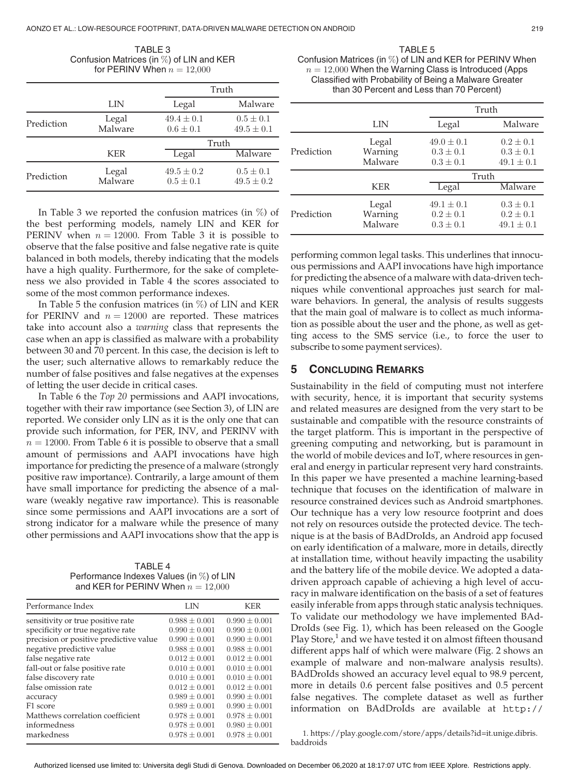TABLE 3 Confusion Matrices (in %) of LIN and KER for PERINV When  $n = 12,000$ 

|            |                  | Truth                           |                                 |  |
|------------|------------------|---------------------------------|---------------------------------|--|
|            | LIN              | Legal                           | Malware                         |  |
| Prediction | Legal<br>Malware | $49.4 \pm 0.1$<br>$0.6 \pm 0.1$ | $0.5 \pm 0.1$<br>$49.5 \pm 0.1$ |  |
|            |                  |                                 | Truth                           |  |
|            | <b>KER</b>       | Legal                           | Malware                         |  |
| Prediction | Legal<br>Malware | $49.5 \pm 0.2$<br>$0.5 \pm 0.1$ | $0.5 \pm 0.1$<br>$49.5 \pm 0.2$ |  |

In Table 3 we reported the confusion matrices (in %) of the best performing models, namely LIN and KER for PERINV when  $n = 12000$ . From Table 3 it is possible to observe that the false positive and false negative rate is quite balanced in both models, thereby indicating that the models have a high quality. Furthermore, for the sake of completeness we also provided in Table 4 the scores associated to some of the most common performance indexes.

In Table 5 the confusion matrices (in %) of LIN and KER for PERINV and  $n = 12000$  are reported. These matrices take into account also a warning class that represents the case when an app is classified as malware with a probability between 30 and 70 percent. In this case, the decision is left to the user; such alternative allows to remarkably reduce the number of false positives and false negatives at the expenses of letting the user decide in critical cases.

In Table 6 the Top 20 permissions and AAPI invocations, together with their raw importance (see Section 3), of LIN are reported. We consider only LIN as it is the only one that can provide such information, for PER, INV, and PERINV with  $n = 12000$ . From Table 6 it is possible to observe that a small amount of permissions and AAPI invocations have high importance for predicting the presence of a malware (strongly positive raw importance). Contrarily, a large amount of them have small importance for predicting the absence of a malware (weakly negative raw importance). This is reasonable since some permissions and AAPI invocations are a sort of strong indicator for a malware while the presence of many other permissions and AAPI invocations show that the app is

TABLE 4 Performance Indexes Values (in %) of LIN and KER for PERINV When  $n = 12,000$ 

| Performance Index                      | LIN               | <b>KER</b>        |
|----------------------------------------|-------------------|-------------------|
| sensitivity or true positive rate      | $0.988 + 0.001$   | $0.990 + 0.001$   |
| specificity or true negative rate      | $0.990 \pm 0.001$ | $0.990 \pm 0.001$ |
| precision or positive predictive value | $0.990 + 0.001$   | $0.990 + 0.001$   |
| negative predictive value              | $0.988 \pm 0.001$ | $0.988 \pm 0.001$ |
| false negative rate                    | $0.012 + 0.001$   | $0.012 + 0.001$   |
| fall-out or false positive rate        | $0.010 + 0.001$   | $0.010 \pm 0.001$ |
| false discovery rate                   | $0.010 + 0.001$   | $0.010 + 0.001$   |
| false omission rate                    | $0.012 + 0.001$   | $0.012 \pm 0.001$ |
| accuracy                               | $0.989 + 0.001$   | $0.990 \pm 0.001$ |
| F1 score                               | $0.989 + 0.001$   | $0.990 \pm 0.001$ |
| Matthews correlation coefficient       | $0.978 + 0.001$   | $0.978 \pm 0.001$ |
| informedness                           | $0.978 + 0.001$   | $0.980 \pm 0.001$ |
| markedness                             | $0.978 + 0.001$   | $0.978 \pm 0.001$ |

TABLE 5<br>Confusion Matrices (in %) of LIN and KER for PERINV When Confusion Matrices (in  $\%$ ) of LIN and KER for PERINV When<br>  $n = 12{,}000$  When the Warning Class is Introduced (Apps<br>
Classified with Probability of Being a Malware Greater Classified with Probability of Being a Malware Greater than 30 Percent and Less than 70 Percent)

|            |                             | Truth                                            |                                                  |  |
|------------|-----------------------------|--------------------------------------------------|--------------------------------------------------|--|
|            | LIN                         | Legal                                            | Malware                                          |  |
| Prediction | Legal<br>Warning<br>Malware | $49.0 \pm 0.1$<br>$0.3 \pm 0.1$<br>$0.3 \pm 0.1$ | $0.2 \pm 0.1$<br>$0.3 \pm 0.1$<br>$49.1 \pm 0.1$ |  |
|            |                             |                                                  | Truth                                            |  |
|            | <b>KER</b>                  | Legal                                            | Malware                                          |  |
| Prediction | Legal<br>Warning<br>Malware | $49.1 \pm 0.1$<br>$0.2 \pm 0.1$<br>$0.3 \pm 0.1$ | $0.3 \pm 0.1$<br>$0.2 \pm 0.1$<br>$49.1 \pm 0.1$ |  |

performing common legal tasks. This underlines that innocuous permissions and AAPI invocations have high importance for predicting the absence of a malware with data-driven techniques while conventional approaches just search for malware behaviors. In general, the analysis of results suggests that the main goal of malware is to collect as much information as possible about the user and the phone, as well as getting access to the SMS service (i.e., to force the user to subscribe to some payment services).

#### 5 CONCLUDING REMARKS

Sustainability in the field of computing must not interfere with security, hence, it is important that security systems and related measures are designed from the very start to be sustainable and compatible with the resource constraints of the target platform. This is important in the perspective of greening computing and networking, but is paramount in the world of mobile devices and IoT, where resources in general and energy in particular represent very hard constraints. In this paper we have presented a machine learning-based technique that focuses on the identification of malware in resource constrained devices such as Android smartphones. Our technique has a very low resource footprint and does not rely on resources outside the protected device. The technique is at the basis of BAdDroIds, an Android app focused on early identification of a malware, more in details, directly at installation time, without heavily impacting the usability and the battery life of the mobile device. We adopted a datadriven approach capable of achieving a high level of accuracy in malware identification on the basis of a set of features easily inferable from apps through static analysis techniques. To validate our methodology we have implemented BAd-DroIds (see Fig. 1), which has been released on the Google Play Store, $<sup>1</sup>$  and we have tested it on almost fifteen thousand</sup> different apps half of which were malware (Fig. 2 shows an example of malware and non-malware analysis results). BAdDroIds showed an accuracy level equal to 98.9 percent, more in details 0.6 percent false positives and 0.5 percent false negatives. The complete dataset as well as further information on BAdDroIds are available at [http://](http://baddroids.smartlab.ws)

1. [https://play.google.com/store/apps/details?id=it.unige.dibris.](https://play.google.com/store/apps/details?id=it.unige.dibris.baddroids) [baddroids](https://play.google.com/store/apps/details?id=it.unige.dibris.baddroids)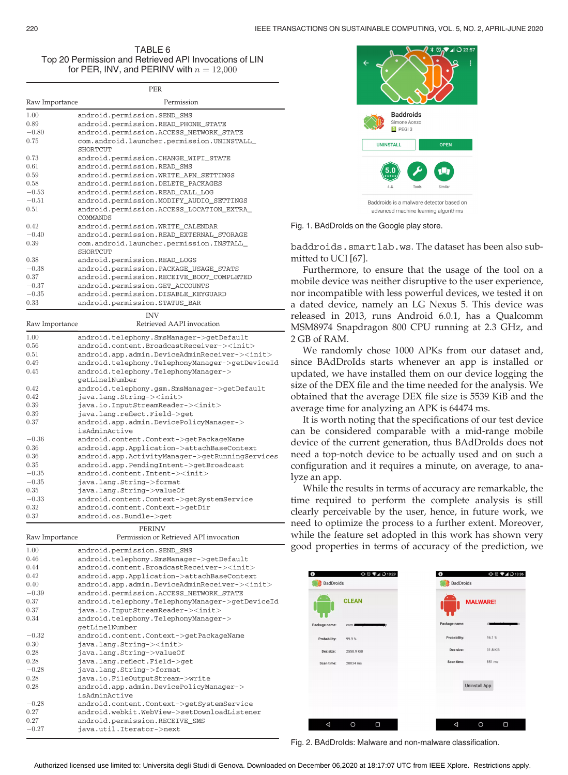| TABLE 6                                                |
|--------------------------------------------------------|
| Top 20 Permission and Retrieved API Invocations of LIN |
| for PER, INV, and PERINV with $n = 12,000$             |
|                                                        |

|                    | PER                                                          |
|--------------------|--------------------------------------------------------------|
| Raw Importance     | Permission                                                   |
| 1.00               | android.permission.SEND SMS                                  |
| 0.89               | android.permission.READ_PHONE_STATE                          |
| $-0.80$            | android.permission.ACCESS NETWORK STATE                      |
| 0.75               | com.android.launcher.permission.UNINSTALL<br><b>SHORTCUT</b> |
| 0.73               | android.permission.CHANGE WIFI STATE                         |
| 0.61               | android.permission.READ SMS                                  |
| 0.59               | android.permission.WRITE APN SETTINGS                        |
| 0.58               | android.permission.DELETE_PACKAGES                           |
| $-0.53$            | android.permission.READ CALL LOG                             |
| $-0.51$            | android.permission.MODIFY_AUDIO_SETTINGS                     |
| 0.51               | android.permission.ACCESS LOCATION EXTRA<br><b>COMMANDS</b>  |
| 0.42               | android.permission.WRITE CALENDAR                            |
| $-0.40$            | android.permission.READ EXTERNAL STORAGE                     |
| 0.39               | com.android.launcher.permission.INSTALL<br><b>SHORTCUT</b>   |
| 0.38               | android.permission.READ LOGS                                 |
| $-0.38$            | android.permission.PACKAGE USAGE STATS                       |
| 0.37               | android.permission.RECEIVE_BOOT_COMPLETED                    |
| $-0.37$            | android.permission.GET_ACCOUNTS                              |
| $-0.35$            | android.permission.DISABLE KEYGUARD                          |
| 0.33               | android.permission.STATUS_BAR                                |
|                    | <b>INV</b>                                                   |
| Davis Improvementa | Dotatorio de AADI invisionism                                |

| Raw Importance | Retrieved AAPI invocation                             |
|----------------|-------------------------------------------------------|
| 1.00           | android.telephony.SmsManager->getDefault              |
| 0.56           | android.content.BroadcastReceiver-> <init></init>     |
| 0.51           | android.app.admin.DeviceAdminReceiver-> <init></init> |
| 0.49           | android.telephony.TelephonyManager->getDeviceId       |
| 0.45           | android.telephony.TelephonyManager->                  |
|                | getLine1Number                                        |
| 0.42           | android.telephony.gsm.SmsManager->getDefault          |
| 0.42           | java.lang.String-> <init></init>                      |
| 0.39           | java.io.InputStreamReader-> <init></init>             |
| 0.39           | java.lang.reflect.Field->get                          |
| 0.37           | android.app.admin.DevicePolicyManager->               |
|                | isAdminActive                                         |
| $-0.36$        | android.content.Context->getPackageName               |
| 0.36           | android.app.Application->attachBaseContext            |
| 0.36           | android.app.ActivityManager->getRunningServices       |
| 0.35           | android.app.PendingIntent->getBroadcast               |
| $-0.35$        | android.content.Intent-> <init></init>                |
| $-0.35$        | java.lang.String->format                              |
| 0.35           | java.lang.String->valueOf                             |
| $-0.33$        | android.content.Context->getSystemService             |
| 0.32           | android.content.Context->qetDir                       |
| 0.32           | android.os.Bundle->qet                                |
|                |                                                       |

PERINV

| Raw Importance | Permission or Retrieved API invocation                |
|----------------|-------------------------------------------------------|
| 1.00           | android.permission.SEND_SMS                           |
| 0.46           | android.telephony.SmsManager->getDefault              |
| 0.44           | android.content.BroadcastReceiver-> <init></init>     |
| 0.42           | android.app.Application->attachBaseContext            |
| 0.40           | android.app.admin.DeviceAdminReceiver-> <init></init> |
| $-0.39$        | android.permission.ACCESS NETWORK STATE               |
| 0.37           | android.telephony.TelephonyManager->getDeviceId       |
| 0.37           | java.io.InputStreamReader-> <init></init>             |
| 0.34           | android.telephony.TelephonyManager->                  |
|                | qetLine1Number                                        |
| $-0.32$        | android.content.Context->getPackageName               |
| 0.30           | java.lang.String-> <init></init>                      |
| 0.28           | java.lang.String->valueOf                             |
| 0.28           | java.lang.reflect.Field->get                          |
| $-0.28$        | java.lang.String->format                              |
| 0.28           | java.io.FileOutputStream->write                       |
| 0.28           | android.app.admin.DevicePolicyManager->               |
|                | isAdminActive                                         |
| $-0.28$        | android.content.Context->getSystemService             |
| 0.27           | android.webkit.WebView->setDownloadListener           |
| 0.27           | android.permission.RECEIVE_SMS                        |
| $-0.27$        | java.util.Iterator->next                              |



Baddroids is a malware detector based on advanced machine learning algorithms

Fig. 1. BAdDroIds on the Google play store.

[baddroids.smartlab.ws](http://baddroids.smartlab.ws). The dataset has been also submitted to UCI [67].

Furthermore, to ensure that the usage of the tool on a mobile device was neither disruptive to the user experience, nor incompatible with less powerful devices, we tested it on a dated device, namely an LG Nexus 5. This device was released in 2013, runs Android 6.0.1, has a Qualcomm MSM8974 Snapdragon 800 CPU running at 2.3 GHz, and 2 GB of RAM.

We randomly chose 1000 APKs from our dataset and, since BAdDroIds starts whenever an app is installed or updated, we have installed them on our device logging the size of the DEX file and the time needed for the analysis. We obtained that the average DEX file size is 5539 KiB and the average time for analyzing an APK is 64474 ms.

It is worth noting that the specifications of our test device can be considered comparable with a mid-range mobile device of the current generation, thus BAdDroIds does not need a top-notch device to be actually used and on such a configuration and it requires a minute, on average, to analyze an app.

While the results in terms of accuracy are remarkable, the time required to perform the complete analysis is still clearly perceivable by the user, hence, in future work, we need to optimize the process to a further extent. Moreover, while the feature set adopted in this work has shown very good properties in terms of accuracy of the prediction, we

| A<br>BadDroids | 1 13:29      | A<br>BadDroids | 10 で ♥▲ 0 13:36      |
|----------------|--------------|----------------|----------------------|
|                | <b>CLEAN</b> |                | <b>MALWARE!</b>      |
| Package name:  | com.         | Package name:  |                      |
| Probability:   | 99.9%        | Probability:   | 96.1%                |
| Dex size:      | 2558.9 KiB   | Dex size:      | 31.8 KiB             |
| Scan time:     | 20034 ms     | Scan time:     | 851 ms               |
|                |              |                | <b>Uninstall App</b> |
|                |              |                |                      |
| Δ              | O<br>Ο       | Δ              | O<br>Ω               |

Fig. 2. BAdDroIds: Malware and non-malware classification.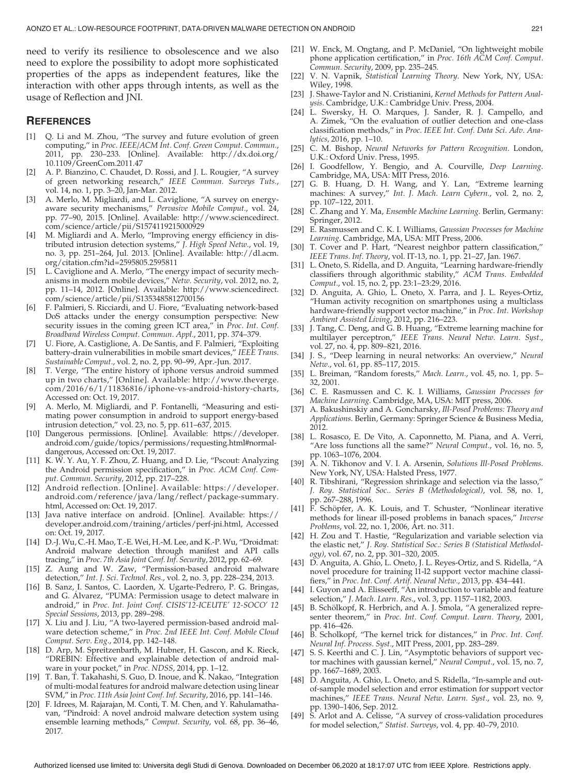need to verify its resilience to obsolescence and we also need to explore the possibility to adopt more sophisticated properties of the apps as independent features, like the interaction with other apps through intents, as well as the usage of Reflection and JNI.

#### **REFERENCES**

- [1] Q. Li and M. Zhou, "The survey and future evolution of green computing," in Proc. IEEE/ACM Int. Conf. Green Comput. Commun., 2011, pp. 230–233. [Online]. Available: [http://dx.doi.org/](http://dx.doi.org/10.1109/GreenCom.2011.47) [10.1109/GreenCom.2011.47](http://dx.doi.org/10.1109/GreenCom.2011.47)
- [2] A. P. Bianzino, C. Chaudet, D. Rossi, and J. L. Rougier, "A survey of green networking research," IEEE Commun. Surveys Tuts., vol. 14, no. 1, pp. 3–20, Jan-Mar. 2012.
- [3] A. Merlo, M. Migliardi, and L. Caviglione, "A survey on energyaware security mechanisms," Pervasive Mobile Comput., vol. 24, pp. 77–90, 2015. [Online]. Available: [http://www.sciencedirect.](http://www.sciencedirect.com/science/article/pii/S1574119215000929) [com/science/article/pii/S1574119215000929](http://www.sciencedirect.com/science/article/pii/S1574119215000929)
- [4] M. Migliardi and A. Merlo, "Improving energy efficiency in distributed intrusion detection systems," J. High Speed Netw., vol. 19, no. 3, pp. 251–264, Jul. 2013. [Online]. Available: [http://dl.acm.](http://dl.acm.org/citation.cfm?id=2595805.2595811) [org/citation.cfm?id=2595805.2595811](http://dl.acm.org/citation.cfm?id=2595805.2595811)
- [5] L. Caviglione and A. Merlo, "The energy impact of security mechanisms in modern mobile devices," Netw. Security, vol. 2012, no. 2, pp. 11–14, 2012. [Online]. Available: [http://www.sciencedirect.](http://www.sciencedirect.com/science/article/pii/S1353485812700156) [com/science/article/pii/S1353485812700156](http://www.sciencedirect.com/science/article/pii/S1353485812700156)
- [6] F. Palmieri, S. Ricciardi, and U. Fiore, "Evaluating network-based DoS attacks under the energy consumption perspective: New security issues in the coming green ICT area," in Proc. Int. Conf. Broadband Wireless Comput. Commun. Appl., 2011, pp. 374–379.
- [7] U. Fiore, A. Castiglione, A. De Santis, and F. Palmieri, "Exploiting battery-drain vulnerabilities in mobile smart devices," IEEE Trans. Sustainable Comput., vol. 2, no. 2, pp. 90–99, Apr.-Jun. 2017.
- [8] T. Verge, "The entire history of iphone versus android summed up in two charts," [Online]. Available: [http://www.theverge.](http://www.theverge.com/2016/6/1/11836816/iphone-vs-android-history-charts) [com/2016/6/1/11836816/iphone-vs-android-history-charts](http://www.theverge.com/2016/6/1/11836816/iphone-vs-android-history-charts), Accessed on: Oct. 19, 2017.
- [9] A. Merlo, M. Migliardi, and P. Fontanelli, "Measuring and estimating power consumption in android to support energy-based intrusion detection," vol. 23, no. 5, pp. 611–637, 2015.
- [10] Dangerous permissions. [Online]. Available: [https://developer.](https://developer.android.com/guide/topics/permissions/requesting.html#normal-dangerous) [android.com/guide/topics/permissions/requesting.html#normal](https://developer.android.com/guide/topics/permissions/requesting.html#normal-dangerous)[dangerous,](https://developer.android.com/guide/topics/permissions/requesting.html#normal-dangerous) Accessed on: Oct. 19, 2017.
- [11] K. W. Y. Au, Y. F. Zhou, Z. Huang, and D. Lie, "Pscout: Analyzing the Android permission specification," in Proc. ACM Conf. Comput. Commun. Security, 2012, pp. 217–228.
- [12] Android reflection. [Online]. Available: [https://developer.](https://developer.android.com/reference/java/lang/reflect/package-summary.html) [android.com/reference/java/lang/reflect/package-summary.](https://developer.android.com/reference/java/lang/reflect/package-summary.html) [html,](https://developer.android.com/reference/java/lang/reflect/package-summary.html) Accessed on: Oct. 19, 2017.
- [13] Java native interface on android. [Online]. Available: [https://](https://developer.android.com/training/articles/perf-jni.html) [developer.android.com/training/articles/perf-jni.html](https://developer.android.com/training/articles/perf-jni.html), Accessed on: Oct. 19, 2017.
- [14] D.-J. Wu, C.-H. Mao, T.-E. Wei, H.-M. Lee, and K.-P. Wu, "Droidmat: Android malware detection through manifest and API calls tracing," in Proc. 7th Asia Joint Conf. Inf. Security, 2012, pp. 62–69.
- [15] Z. Aung and W. Zaw, "Permission-based android malware detection," Int. J. Sci. Technol. Res., vol. 2, no. 3, pp. 228–234, 2013.
- [16] B. Sanz, I. Santos, C. Laorden, X. Ugarte-Pedrero, P. G. Bringas, and G. Alvarez, "PUMA: Permission usage to detect malware in android," in Proc. Int. Joint Conf. CISIS'12-ICEUTE' 12-SOCO' 12 Special Sessions, 2013, pp. 289–298.
- [17] X. Liu and J. Liu, "A two-layered permission-based android malware detection scheme," in Proc. 2nd IEEE Int. Conf. Mobile Cloud Comput. Serv. Eng., 2014, pp. 142–148.
- [18] D. Arp, M. Spreitzenbarth, M. Hubner, H. Gascon, and K. Rieck, "DREBIN: Effective and explainable detection of android malware in your pocket," in Proc. NDSS, 2014, pp. 1–12.
- [19] T. Ban, T. Takahashi, S. Guo, D. Inoue, and K. Nakao, "Integration of multi-modal features for android malware detection using linear SVM," in Proc. 11th Asia Joint Conf. Inf. Security, 2016, pp. 141–146.
- [20] F. Idrees, M. Rajarajan, M. Conti, T. M. Chen, and Y. Rahulamathavan, "Pindroid: A novel android malware detection system using ensemble learning methods," Comput. Security, vol. 68, pp. 36–46, 2017.
- [21] W. Enck, M. Ongtang, and P. McDaniel, "On lightweight mobile phone application certification," in Proc. 16th ACM Conf. Comput. Commun. Security, 2009, pp. 235–245.
- [22] V. N. Vapnik, Statistical Learning Theory. New York, NY, USA: Wiley, 1998.
- [23] J. Shawe-Taylor and N. Cristianini, Kernel Methods for Pattern Analysis. Cambridge, U.K.: Cambridge Univ. Press, 2004.
- [24] L. Swersky, H. O. Marques, J. Sander, R. J. Campello, and A. Zimek, "On the evaluation of outlier detection and one-class classification methods," in Proc. IEEE Int. Conf. Data Sci. Adv. Analytics, 2016, pp. 1–10.
- [25] Č. M. Bishop, Neural Networks for Pattern Recognition. London, U.K.: Oxford Univ. Press, 1995.
- [26] I. Goodfellow, Y. Bengio, and A. Courville, Deep Learning. Cambridge, MA, USA: MIT Press, 2016.
- [27] G. B. Huang, D. H. Wang, and Y. Lan, "Extreme learning machines: A survey," Int. J. Mach. Learn Cybern., vol. 2, no. 2, pp. 107–122, 2011.
- [28] C. Zhang and Y. Ma, Ensemble Machine Learning. Berlin, Germany: Springer, 2012.
- [29] E. Rasmussen and C. K. I. Williams, Gaussian Processes for Machine Learning. Cambridge, MA, USA: MIT Press, 2006.
- [30] T. Cover and P. Hart, "Nearest neighbor pattern classification," IEEE Trans. Inf. Theory, vol. IT-13, no. 1, pp. 21–27, Jan. 1967.
- [31] L. Oneto, S. Ridella, and D. Anguita, "Learning hardware-friendly classifiers through algorithmic stability," ACM Trans. Embedded Comput., vol. 15, no. 2, pp. 23:1–23:29, 2016.
- [32] D. Anguita, A. Ghio, L. Oneto, X. Parra, and J. L. Reyes-Ortiz, "Human activity recognition on smartphones using a multiclass hardware-friendly support vector machine," in Proc. Int. Workshop Ambient Assisted Living, 2012, pp. 216–223.
- [33] J. Tang, C. Deng, and G. B. Huang, "Extreme learning machine for multilayer perceptron," IEEE Trans. Neural Netw. Learn. Syst., vol. 27, no. 4, pp. 809–821, 2016.
- [34] J. S., "Deep learning in neural networks: An overview," Neural Netw., vol. 61, pp. 85–117, 2015.
- [35] L. Breiman, "Random forests," Mach. Learn., vol. 45, no. 1, pp. 5– 32, 2001.
- [36] C. E. Rasmussen and C. K. I. Williams, Gaussian Processes for Machine Learning. Cambridge, MA, USA: MIT press, 2006.
- [37] A. Bakushinskiy and A. Goncharsky, Ill-Posed Problems: Theory and Applications. Berlin, Germany: Springer Science & Business Media, 2012.
- [38] L. Rosasco, E. De Vito, A. Caponnetto, M. Piana, and A. Verri, "Are loss functions all the same?" Neural Comput., vol. 16, no. 5, pp. 1063–1076, 2004.
- [39] A. N. Tikhonov and V. I. A. Arsenin, Solutions Ill-Posed Problems. New York, NY, USA: Halsted Press, 1977.
- [40] R. Tibshirani, "Regression shrinkage and selection via the lasso," J. Roy. Statistical Soc.. Series B (Methodological), vol. 58, no. 1, pp. 267–288, 1996.
- [41] F. Schöpfer, A. K. Louis, and T. Schuster, "Nonlinear iterative methods for linear ill-posed problems in banach spaces," Inverse Problems, vol. 22, no. 1, 2006, Art. no. 311.
- [42] H. Zou and T. Hastie, "Regularization and variable selection via the elastic net," J. Roy. Statistical Soc.: Series B (Statistical Methodology), vol. 67, no. 2, pp. 301–320, 2005.
- [43] D. Anguita, A. Ghio, L. Oneto, J. L. Reyes-Ortiz, and S. Ridella, "A novel procedure for training l1-l2 support vector machine classifiers," in Proc. Int. Conf. Artif. Neural Netw., 2013, pp. 434-441.
- [44] I. Guyon and A. Elisseeff, "An introduction to variable and feature selection," J. Mach. Learn. Res., vol. 3, pp. 1157–1182, 2003.
- [45] B. Schölkopf, R. Herbrich, and A. J. Smola, "A generalized repre-<br>
senter theorem " in *Proc. Int. Conf. Commut. Learn. Theoru*, 2001 senter theorem," in Proc. Int. Conf. Comput. Learn. Theory, 2001, pp. 416–426.
- [46] B. Scholkopf, "The kernel trick for distances," in Proc. Int. Conf. Neural Inf. Process. Syst., MIT Press, 2001, pp. 283–289.
- [47] S. S. Keerthi and C. J. Lin, "Asymptotic behaviors of support vector machines with gaussian kernel," Neural Comput., vol. 15, no. 7, pp. 1667–1689, 2003.
- [48]  $\overrightarrow{D}$ . Anguita, A. Ghio, L. Oneto, and S. Ridella, "In-sample and outof-sample model selection and error estimation for support vector machines," IEEE Trans. Neural Netw. Learn. Syst., vol. 23, no. 9, pp. 1390–1406, Sep. 2012.
- [49] S. Arlot and A. Celisse, "A survey of cross-validation procedures for model selection," Statist. Surveys, vol. 4, pp. 40–79, 2010.